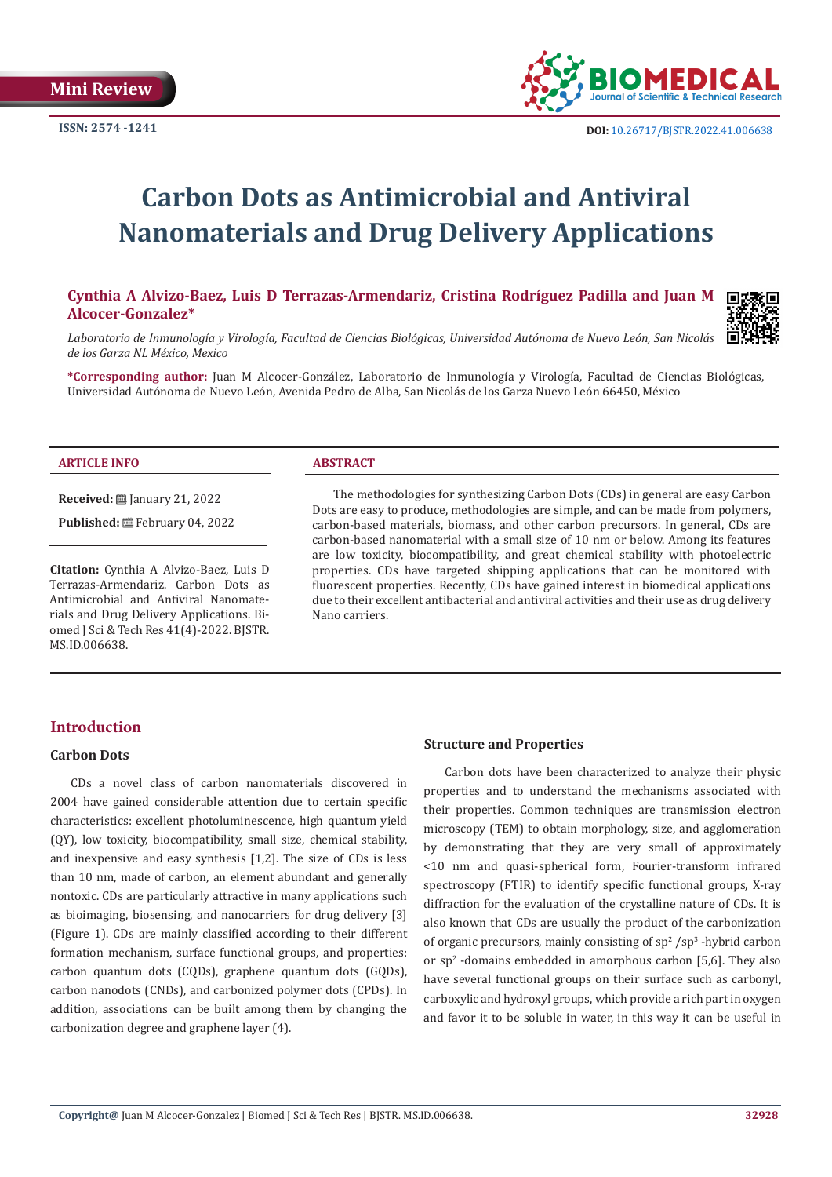

# **Carbon Dots as Antimicrobial and Antiviral Nanomaterials and Drug Delivery Applications**

# **Cynthia A Alvizo-Baez, Luis D Terrazas-Armendariz, Cristina Rodríguez Padilla and Juan M Alcocer-Gonzalez\***



*Laboratorio de Inmunología y Virología, Facultad de Ciencias Biológicas, Universidad Autónoma de Nuevo León, San Nicolás de los Garza NL México, Mexico*

**\*Corresponding author:** Juan M Alcocer-González, Laboratorio de Inmunología y Virología, Facultad de Ciencias Biológicas, Universidad Autónoma de Nuevo León, Avenida Pedro de Alba, San Nicolás de los Garza Nuevo León 66450, México

#### **ARTICLE INFO ABSTRACT**

**Received:** ■ January 21, 2022

Published: **曲 February 04, 2022** 

**Citation:** Cynthia A Alvizo-Baez, Luis D Terrazas-Armendariz. Carbon Dots as Antimicrobial and Antiviral Nanomaterials and Drug Delivery Applications. Biomed J Sci & Tech Res 41(4)-2022. BJSTR. MS.ID.006638.

The methodologies for synthesizing Carbon Dots (CDs) in general are easy Carbon Dots are easy to produce, methodologies are simple, and can be made from polymers, carbon-based materials, biomass, and other carbon precursors. In general, CDs are carbon-based nanomaterial with a small size of 10 nm or below. Among its features are low toxicity, biocompatibility, and great chemical stability with photoelectric properties. CDs have targeted shipping applications that can be monitored with fluorescent properties. Recently, CDs have gained interest in biomedical applications due to their excellent antibacterial and antiviral activities and their use as drug delivery Nano carriers.

# **Introduction**

#### **Carbon Dots**

CDs a novel class of carbon nanomaterials discovered in 2004 have gained considerable attention due to certain specific characteristics: excellent photoluminescence, high quantum yield (QY), low toxicity, biocompatibility, small size, chemical stability, and inexpensive and easy synthesis [1,2]. The size of CDs is less than 10 nm, made of carbon, an element abundant and generally nontoxic. CDs are particularly attractive in many applications such as bioimaging, biosensing, and nanocarriers for drug delivery [3] (Figure 1). CDs are mainly classified according to their different formation mechanism, surface functional groups, and properties: carbon quantum dots (CQDs), graphene quantum dots (GQDs), carbon nanodots (CNDs), and carbonized polymer dots (CPDs). In addition, associations can be built among them by changing the carbonization degree and graphene layer (4).

#### **Structure and Properties**

Carbon dots have been characterized to analyze their physic properties and to understand the mechanisms associated with their properties. Common techniques are transmission electron microscopy (TEM) to obtain morphology, size, and agglomeration by demonstrating that they are very small of approximately <10 nm and quasi-spherical form, Fourier-transform infrared spectroscopy (FTIR) to identify specific functional groups, X-ray diffraction for the evaluation of the crystalline nature of CDs. It is also known that CDs are usually the product of the carbonization of organic precursors, mainly consisting of  $sp^2$  /sp<sup>3</sup> -hybrid carbon or sp2 -domains embedded in amorphous carbon [5,6]. They also have several functional groups on their surface such as carbonyl, carboxylic and hydroxyl groups, which provide a rich part in oxygen and favor it to be soluble in water, in this way it can be useful in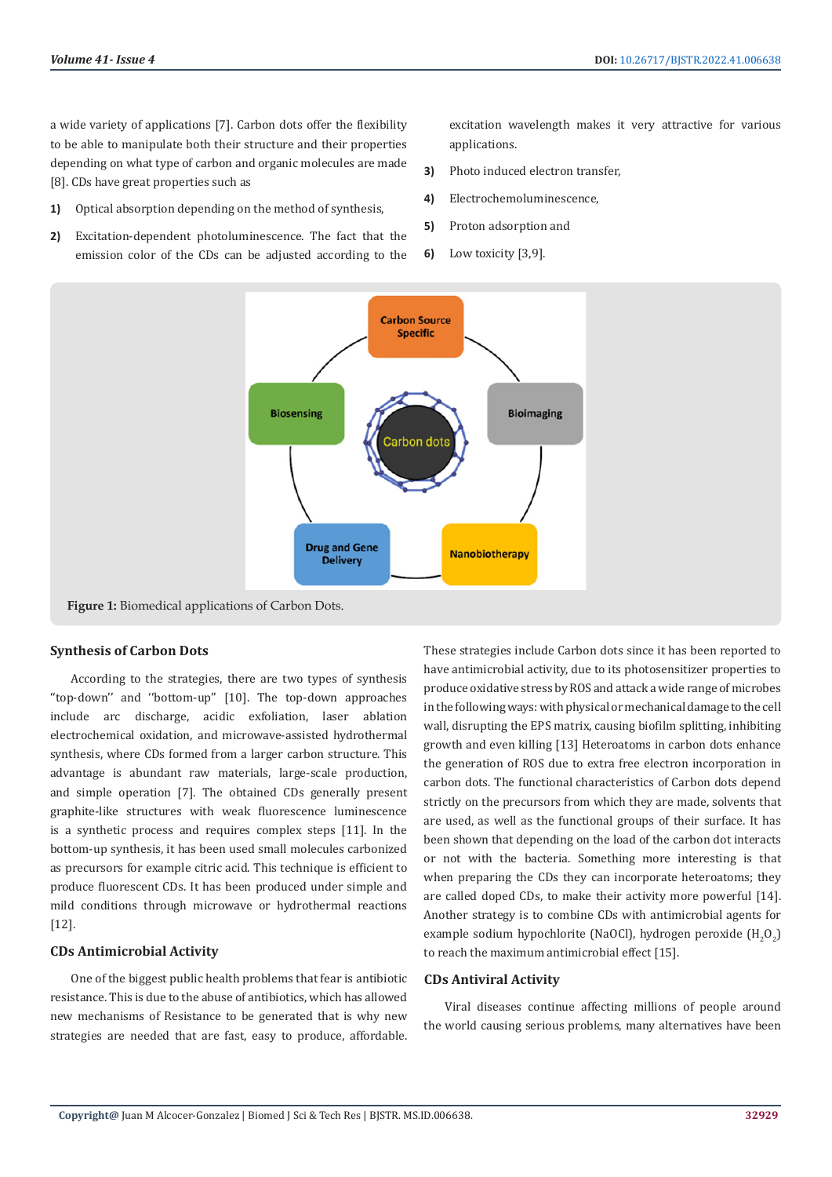a wide variety of applications [7]. Carbon dots offer the flexibility to be able to manipulate both their structure and their properties depending on what type of carbon and organic molecules are made [8]. CDs have great properties such as

- **1)** Optical absorption depending on the method of synthesis,
- **2)** Excitation-dependent photoluminescence. The fact that the emission color of the CDs can be adjusted according to the

excitation wavelength makes it very attractive for various applications.

- **3)** Photo induced electron transfer,
- **4)** Electrochemoluminescence,
- **5)** Proton adsorption and
- **6)** Low toxicity [3,9].



**Figure 1:** Biomedical applications of Carbon Dots.

#### **Synthesis of Carbon Dots**

According to the strategies, there are two types of synthesis ''top-down'' and ''bottom-up'' [10]. The top-down approaches include arc discharge, acidic exfoliation, laser ablation electrochemical oxidation, and microwave-assisted hydrothermal synthesis, where CDs formed from a larger carbon structure. This advantage is abundant raw materials, large-scale production, and simple operation [7]. The obtained CDs generally present graphite-like structures with weak fluorescence luminescence is a synthetic process and requires complex steps [11]. In the bottom-up synthesis, it has been used small molecules carbonized as precursors for example citric acid. This technique is efficient to produce fluorescent CDs. It has been produced under simple and mild conditions through microwave or hydrothermal reactions [12].

#### **CDs Antimicrobial Activity**

One of the biggest public health problems that fear is antibiotic resistance. This is due to the abuse of antibiotics, which has allowed new mechanisms of Resistance to be generated that is why new strategies are needed that are fast, easy to produce, affordable.

These strategies include Carbon dots since it has been reported to have antimicrobial activity, due to its photosensitizer properties to produce oxidative stress by ROS and attack a wide range of microbes in the following ways: with physical or mechanical damage to the cell wall, disrupting the EPS matrix, causing biofilm splitting, inhibiting growth and even killing [13] Heteroatoms in carbon dots enhance the generation of ROS due to extra free electron incorporation in carbon dots. The functional characteristics of Carbon dots depend strictly on the precursors from which they are made, solvents that are used, as well as the functional groups of their surface. It has been shown that depending on the load of the carbon dot interacts or not with the bacteria. Something more interesting is that when preparing the CDs they can incorporate heteroatoms; they are called doped CDs, to make their activity more powerful [14]. Another strategy is to combine CDs with antimicrobial agents for example sodium hypochlorite (NaOCl), hydrogen peroxide (H<sub>2</sub>O<sub>2</sub>) to reach the maximum antimicrobial effect [15].

#### **CDs Antiviral Activity**

Viral diseases continue affecting millions of people around the world causing serious problems, many alternatives have been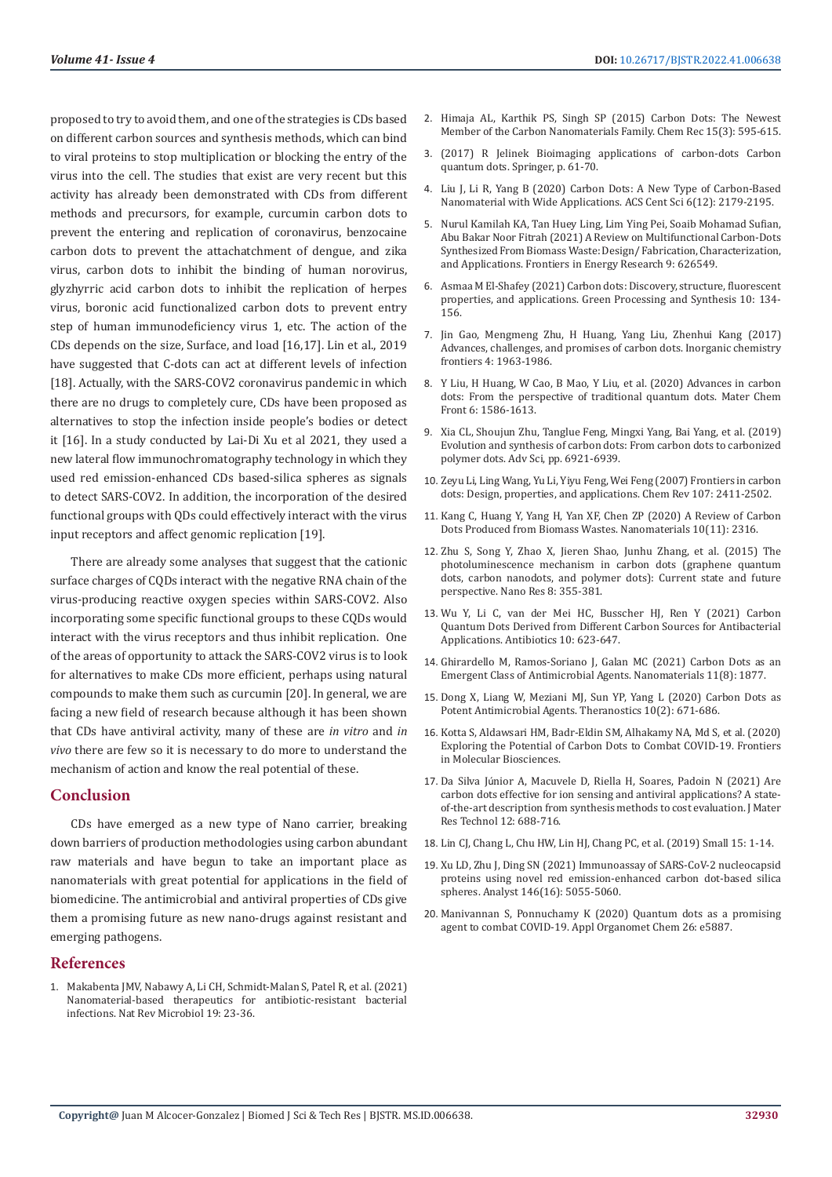proposed to try to avoid them, and one of the strategies is CDs based on different carbon sources and synthesis methods, which can bind to viral proteins to stop multiplication or blocking the entry of the virus into the cell. The studies that exist are very recent but this activity has already been demonstrated with CDs from different methods and precursors, for example, curcumin carbon dots to prevent the entering and replication of coronavirus, benzocaine carbon dots to prevent the attachatchment of dengue, and zika virus, carbon dots to inhibit the binding of human norovirus, glyzhyrric acid carbon dots to inhibit the replication of herpes virus, boronic acid functionalized carbon dots to prevent entry step of human immunodeficiency virus 1, etc. The action of the CDs depends on the size, Surface, and load [16,17]. Lin et al., 2019 have suggested that C-dots can act at different levels of infection [18]. Actually, with the SARS-COV2 coronavirus pandemic in which there are no drugs to completely cure, CDs have been proposed as alternatives to stop the infection inside people's bodies or detect it [16]. In a study conducted by Lai-Di Xu et al 2021, they used a new lateral flow immunochromatography technology in which they used red emission-enhanced CDs based-silica spheres as signals to detect SARS-COV2. In addition, the incorporation of the desired functional groups with QDs could effectively interact with the virus input receptors and affect genomic replication [19].

There are already some analyses that suggest that the cationic surface charges of CQDs interact with the negative RNA chain of the virus-producing reactive oxygen species within SARS-COV2. Also incorporating some specific functional groups to these CQDs would interact with the virus receptors and thus inhibit replication. One of the areas of opportunity to attack the SARS-COV2 virus is to look for alternatives to make CDs more efficient, perhaps using natural compounds to make them such as curcumin [20]. In general, we are facing a new field of research because although it has been shown that CDs have antiviral activity, many of these are *in vitro* and *in vivo* there are few so it is necessary to do more to understand the mechanism of action and know the real potential of these.

### **Conclusion**

CDs have emerged as a new type of Nano carrier, breaking down barriers of production methodologies using carbon abundant raw materials and have begun to take an important place as nanomaterials with great potential for applications in the field of biomedicine. The antimicrobial and antiviral properties of CDs give them a promising future as new nano-drugs against resistant and emerging pathogens.

#### **References**

1. [Makabenta JMV, Nabawy A, Li CH, Schmidt-Malan S, Patel R, et al. \(2021\)](https://www.nature.com/articles/s41579-020-0420-1)  [Nanomaterial-based therapeutics for antibiotic-resistant bacterial](https://www.nature.com/articles/s41579-020-0420-1)  [infections. Nat Rev Microbiol 19: 23-36.](https://www.nature.com/articles/s41579-020-0420-1)

- 2. [Himaja AL, Karthik PS, Singh SP \(2015\) Carbon Dots: The Newest](https://pubmed.ncbi.nlm.nih.gov/25755070/) [Member of the Carbon Nanomaterials Family. Chem Rec 15\(3\): 595-615.](https://pubmed.ncbi.nlm.nih.gov/25755070/)
- 3. [\(2017\) R Jelinek Bioimaging applications of carbon-dots Carbon](https://www.intechopen.com/chapters/61703) [quantum dots. Springer, p. 61-70.](https://www.intechopen.com/chapters/61703)
- 4. [Liu J, Li R, Yang B \(2020\) Carbon Dots: A New Type of Carbon-Based](https://pubs.acs.org/doi/10.1021/acscentsci.0c01306) [Nanomaterial with Wide Applications. ACS Cent Sci 6\(12\): 2179-2195.](https://pubs.acs.org/doi/10.1021/acscentsci.0c01306)
- 5. [Nurul Kamilah KA, Tan Huey Ling, Lim Ying Pei, Soaib Mohamad Sufian,](https://www.frontiersin.org/articles/10.3389/fenrg.2021.626549/full) [Abu Bakar Noor Fitrah \(2021\) A Review on Multifunctional Carbon-Dots](https://www.frontiersin.org/articles/10.3389/fenrg.2021.626549/full) [Synthesized From Biomass Waste: Design/ Fabrication, Characterization,](https://www.frontiersin.org/articles/10.3389/fenrg.2021.626549/full) [and Applications. Frontiers in Energy Research 9: 626549.](https://www.frontiersin.org/articles/10.3389/fenrg.2021.626549/full)
- 6. [Asmaa M El-Shafey \(2021\) Carbon dots: Discovery, structure, fluorescent](https://www.degruyter.com/document/doi/10.1515/gps-2021-0006/html?lang=en) [properties, and applications. Green Processing and Synthesis 10: 134-](https://www.degruyter.com/document/doi/10.1515/gps-2021-0006/html?lang=en) [156.](https://www.degruyter.com/document/doi/10.1515/gps-2021-0006/html?lang=en)
- 7. Jin Gao, Mengmeng Zhu, H Huang, Yang Liu, Zhenhui Kang (2017) Advances, challenges, and promises of carbon dots. Inorganic chemistry frontiers 4: 1963-1986.
- 8. [Y Liu, H Huang, W Cao, B Mao, Y Liu, et al. \(2020\) Advances in carbon](https://pubs.rsc.org/en/content/articlelanding/2020/qm/d0qm00090f) [dots: From the perspective of traditional quantum dots. Mater Chem](https://pubs.rsc.org/en/content/articlelanding/2020/qm/d0qm00090f) [Front 6: 1586-1613.](https://pubs.rsc.org/en/content/articlelanding/2020/qm/d0qm00090f)
- 9. [Xia CL, Shoujun Zhu, Tanglue Feng, Mingxi Yang, Bai Yang, et al. \(2019\)](https://onlinelibrary.wiley.com/doi/full/10.1002/advs.201901316) [Evolution and synthesis of carbon dots: From carbon dots to carbonized](https://onlinelibrary.wiley.com/doi/full/10.1002/advs.201901316) [polymer dots. Adv Sci, pp. 6921-6939.](https://onlinelibrary.wiley.com/doi/full/10.1002/advs.201901316)
- 10. [Zeyu Li, Ling Wang, Yu Li, Yiyu Feng, Wei Feng \(2007\) Frontiers in carbon](https://pubs.rsc.org/en/content/articlelanding/2019/qm/c9qm00415g) [dots: Design, properties, and applications. Chem Rev 107: 2411-2502.](https://pubs.rsc.org/en/content/articlelanding/2019/qm/c9qm00415g)
- 11. [Kang C, Huang Y, Yang H, Yan XF, Chen ZP \(2020\) A Review of Carbon](https://pubmed.ncbi.nlm.nih.gov/33238367/) [Dots Produced from Biomass Wastes. Nanomaterials 10\(11\): 2316.](https://pubmed.ncbi.nlm.nih.gov/33238367/)
- 12. [Zhu S, Song Y, Zhao X, Jieren Shao, Junhu Zhang, et al. \(2015\) The](https://link.springer.com/article/10.1007/s12274-014-0644-3) [photoluminescence mechanism in carbon dots \(graphene quantum](https://link.springer.com/article/10.1007/s12274-014-0644-3) [dots, carbon nanodots, and polymer dots\): Current state and future](https://link.springer.com/article/10.1007/s12274-014-0644-3) [perspective. Nano Res 8: 355-381.](https://link.springer.com/article/10.1007/s12274-014-0644-3)
- 13. Wu Y, Li C, van der Mei HC, Busscher HJ, Ren Y (2021) Carbon Quantum Dots Derived from Different Carbon Sources for Antibacterial Applications. Antibiotics 10: 623-647.
- 14. Ghirardello M, Ramos-Soriano J, Galan MC (2021) Carbon Dots as an Emergent Class of Antimicrobial Agents. Nanomaterials 11(8): 1877.
- 15. [Dong X, Liang W, Meziani MJ, Sun YP, Yang L \(2020\) Carbon Dots as](https://www.ncbi.nlm.nih.gov/labs/pmc/articles/PMC6929978/) [Potent Antimicrobial Agents. Theranostics 10\(2\): 671-686.](https://www.ncbi.nlm.nih.gov/labs/pmc/articles/PMC6929978/)
- 16. [Kotta S, Aldawsari HM, Badr-Eldin SM, Alhakamy NA, Md S, et al. \(2020\)](https://www.frontiersin.org/articles/10.3389/fmolb.2020.616575/full) [Exploring the Potential of Carbon Dots to Combat COVID-19. Frontiers](https://www.frontiersin.org/articles/10.3389/fmolb.2020.616575/full) [in Molecular Biosciences.](https://www.frontiersin.org/articles/10.3389/fmolb.2020.616575/full)
- 17. Da Silva Jú[nior A, Macuvele D, Riella H, Soares, Padoin N \(2021\) Are](https://www.sciencedirect.com/science/article/pii/S2238785421001952) [carbon dots effective for ion sensing and antiviral applications? A state](https://www.sciencedirect.com/science/article/pii/S2238785421001952)[of-the-art description from synthesis methods to cost evaluation. J Mater](https://www.sciencedirect.com/science/article/pii/S2238785421001952) [Res Technol 12: 688-716.](https://www.sciencedirect.com/science/article/pii/S2238785421001952)
- 18. Lin CJ, Chang L, Chu HW, Lin HJ, Chang PC, et al. (2019) Small 15: 1-14.
- 19. [Xu LD, Zhu J, Ding SN \(2021\) Immunoassay of SARS-CoV-2 nucleocapsid](https://pubmed.ncbi.nlm.nih.gov/34282816/) [proteins using novel red emission-enhanced carbon dot-based silica](https://pubmed.ncbi.nlm.nih.gov/34282816/) [spheres. Analyst 146\(16\): 5055-5060.](https://pubmed.ncbi.nlm.nih.gov/34282816/)
- 20. [Manivannan S, Ponnuchamy K \(2020\) Quantum dots as a promising](https://www.ncbi.nlm.nih.gov/labs/pmc/articles/PMC7361141/) [agent to combat COVID-19. Appl Organomet Chem 26: e5887.](https://www.ncbi.nlm.nih.gov/labs/pmc/articles/PMC7361141/)